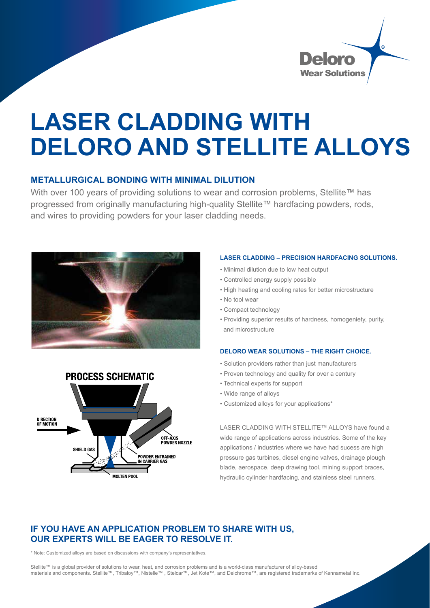

# **LASER CLADDING WITH DELORO AND STELLITE ALLOYS**

### **METALLURGICAL BONDING WITH MINIMAL DILUTION**

With over 100 years of providing solutions to wear and corrosion problems. Stellite™ has progressed from originally manufacturing high-quality Stellite™ hardfacing powders, rods, and wires to providing powders for your laser cladding needs.





#### **LASER CLADDING – PRECISION HARDFACING SOLUTIONS.**

- Minimal dilution due to low heat output
- Controlled energy supply possible
- High heating and cooling rates for better microstructure
- No tool wear
- Compact technology
- Providing superior results of hardness, homogeniety, purity, and microstructure

#### **DELORO WEAR SOLUTIONS – THE RIGHT CHOICE.**

- Solution providers rather than just manufacturers
- Proven technology and quality for over a century
- Technical experts for support
- Wide range of alloys
- Customized alloys for your applications\*

LASER CLADDING WITH STELLITE™ ALLOYS have found a wide range of applications across industries. Some of the key applications / industries where we have had sucess are high pressure gas turbines, diesel engine valves, drainage plough blade, aerospace, deep drawing tool, mining support braces, hydraulic cylinder hardfacing, and stainless steel runners.

## **IF YOU HAVE AN APPLICATION PROBLEM TO SHARE WITH US, OUR EXPERTS WILL BE EAGER TO RESOLVE IT.**

\* Note: Customized alloys are based on discussions with company's representatives.

Stellite™ is a global provider of solutions to wear, heat, and corrosion problems and is a world-class manufacturer of alloy-based materials and components. Stellite™, Tribaloy™, Nistelle™ , Stelcar™, Jet Kote™, and Delchrome™, are registered trademarks of Kennametal Inc.